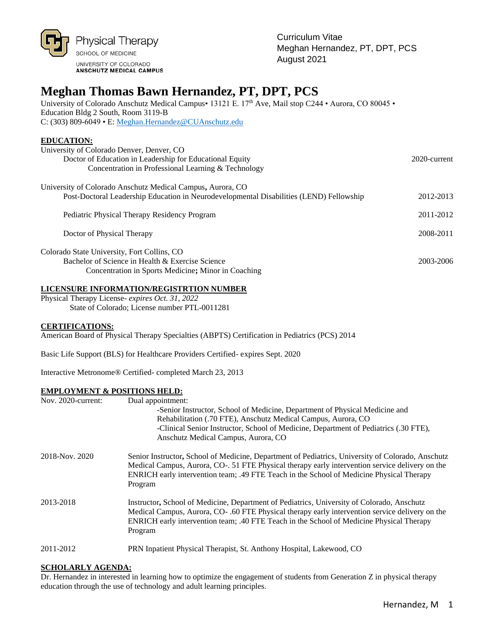

# **Meghan Thomas Bawn Hernandez, PT, DPT, PCS**

University of Colorado Anschutz Medical Campus• 13121 E. 17<sup>th</sup> Ave, Mail stop C244 • Aurora, CO 80045 • Education Bldg 2 South, Room 3119-B C: (303) 809-6049 • E: [Meghan.Hernandez@CUAnschutz.edu](mailto:Meghan.Hernandez@CUAnschutz.edu)

### **EDUCATION:**

| University of Colorado Denver, Denver, CO                                               |              |
|-----------------------------------------------------------------------------------------|--------------|
| Doctor of Education in Leadership for Educational Equity                                | 2020-current |
| Concentration in Professional Learning & Technology                                     |              |
| University of Colorado Anschutz Medical Campus, Aurora, CO                              |              |
| Post-Doctoral Leadership Education in Neurodevelopmental Disabilities (LEND) Fellowship | 2012-2013    |
| Pediatric Physical Therapy Residency Program                                            | 2011-2012    |
|                                                                                         |              |
| Doctor of Physical Therapy                                                              | 2008-2011    |
| Colorado State University, Fort Collins, CO                                             |              |
| Bachelor of Science in Health & Exercise Science                                        | 2003-2006    |
| Concentration in Sports Medicine; Minor in Coaching                                     |              |

#### **LICENSURE INFORMATION/REGISTRTION NUMBER**

Physical Therapy License- *expires Oct. 31, 2022* State of Colorado; License number PTL-0011281

#### **CERTIFICATIONS:**

American Board of Physical Therapy Specialties (ABPTS) Certification in Pediatrics (PCS) 2014

Basic Life Support (BLS) for Healthcare Providers Certified- expires Sept. 2020

Interactive Metronome® Certified- completed March 23, 2013

#### **EMPLOYMENT & POSITIONS HELD:**

| Nov. 2020-current: | Dual appointment:<br>-Senior Instructor, School of Medicine, Department of Physical Medicine and<br>Rehabilitation (.70 FTE), Anschutz Medical Campus, Aurora, CO<br>-Clinical Senior Instructor, School of Medicine, Department of Pediatrics (.30 FTE),<br>Anschutz Medical Campus, Aurora, CO            |
|--------------------|-------------------------------------------------------------------------------------------------------------------------------------------------------------------------------------------------------------------------------------------------------------------------------------------------------------|
| 2018-Nov. 2020     | Senior Instructor, School of Medicine, Department of Pediatrics, University of Colorado, Anschutz<br>Medical Campus, Aurora, CO-. 51 FTE Physical therapy early intervention service delivery on the<br>ENRICH early intervention team; .49 FTE Teach in the School of Medicine Physical Therapy<br>Program |
| 2013-2018          | Instructor, School of Medicine, Department of Pediatrics, University of Colorado, Anschutz<br>Medical Campus, Aurora, CO-.60 FTE Physical therapy early intervention service delivery on the<br>ENRICH early intervention team; .40 FTE Teach in the School of Medicine Physical Therapy<br>Program         |
| 2011-2012          | PRN Inpatient Physical Therapist, St. Anthony Hospital, Lakewood, CO                                                                                                                                                                                                                                        |

#### **SCHOLARLY AGENDA:**

Dr. Hernandez in interested in learning how to optimize the engagement of students from Generation Z in physical therapy education through the use of technology and adult learning principles.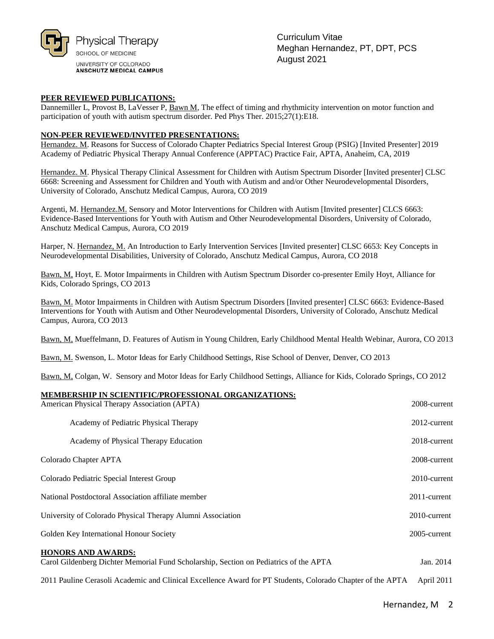

Curriculum Vitae Meghan Hernandez, PT, DPT, PCS August 2021

#### **PEER REVIEWED PUBLICATIONS:**

Dannemiller L, Provost B, LaVesser P, Bawn M, The effect of timing and rhythmicity intervention on motor function and participation of youth with autism spectrum disorder. Ped Phys Ther. 2015;27(1):E18.

#### **NON-PEER REVIEWED/INVITED PRESENTATIONS:**

Hernandez. M. Reasons for Success of Colorado Chapter Pediatrics Special Interest Group (PSIG) [Invited Presenter] 2019 Academy of Pediatric Physical Therapy Annual Conference (APPTAC) Practice Fair, APTA, Anaheim, CA, 2019

Hernandez. M. Physical Therapy Clinical Assessment for Children with Autism Spectrum Disorder [Invited presenter] CLSC 6668: Screening and Assessment for Children and Youth with Autism and and/or Other Neurodevelopmental Disorders, University of Colorado, Anschutz Medical Campus, Aurora, CO 2019

Argenti, M. Hernandez.M. Sensory and Motor Interventions for Children with Autism [Invited presenter] CLCS 6663: Evidence-Based Interventions for Youth with Autism and Other Neurodevelopmental Disorders, University of Colorado, Anschutz Medical Campus, Aurora, CO 2019

Harper, N. Hernandez, M. An Introduction to Early Intervention Services [Invited presenter] CLSC 6653: Key Concepts in Neurodevelopmental Disabilities, University of Colorado, Anschutz Medical Campus, Aurora, CO 2018

Bawn, M, Hoyt, E. Motor Impairments in Children with Autism Spectrum Disorder co-presenter Emily Hoyt, Alliance for Kids, Colorado Springs, CO 2013

Bawn, M. Motor Impairments in Children with Autism Spectrum Disorders [Invited presenter] CLSC 6663: Evidence-Based Interventions for Youth with Autism and Other Neurodevelopmental Disorders, University of Colorado, Anschutz Medical Campus, Aurora, CO 2013

Bawn, M, Mueffelmann, D. Features of Autism in Young Children, Early Childhood Mental Health Webinar, Aurora, CO 2013

Bawn, M. Swenson, L. Motor Ideas for Early Childhood Settings, Rise School of Denver, Denver, CO 2013

Bawn, M, Colgan, W. Sensory and Motor Ideas for Early Childhood Settings, Alliance for Kids, Colorado Springs, CO 2012

#### **MEMBERSHIP IN SCIENTIFIC/PROFESSIONAL ORGANIZATIONS:**

| MEMDERSHII TA SCHEATH ICA ROFESSIONALI ORGANIZATIONS.<br>American Physical Therapy Association (APTA)              | 2008-current |
|--------------------------------------------------------------------------------------------------------------------|--------------|
| Academy of Pediatric Physical Therapy                                                                              | 2012-current |
| Academy of Physical Therapy Education                                                                              | 2018-current |
| Colorado Chapter APTA                                                                                              | 2008-current |
| Colorado Pediatric Special Interest Group                                                                          | 2010-current |
| National Postdoctoral Association affiliate member                                                                 | 2011-current |
| University of Colorado Physical Therapy Alumni Association                                                         | 2010-current |
| Golden Key International Honour Society                                                                            | 2005-current |
| <b>HONORS AND AWARDS:</b><br>Carol Gildenberg Dichter Memorial Fund Scholarship, Section on Pediatrics of the APTA | Jan. 2014    |

2011 Pauline Cerasoli Academic and Clinical Excellence Award for PT Students, Colorado Chapter of the APTA April 2011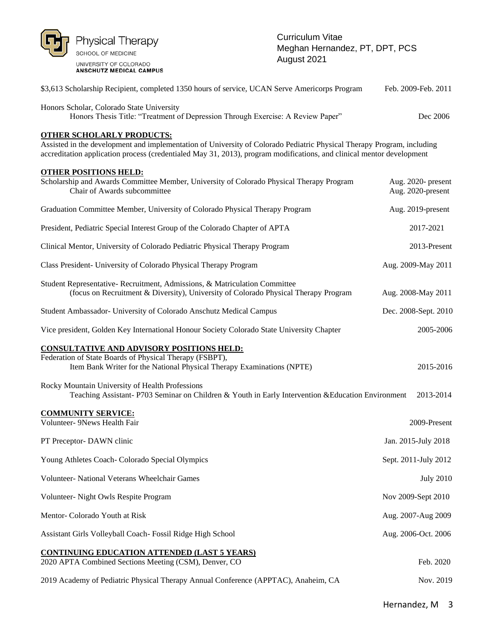

| \$3,613 Scholarship Recipient, completed 1350 hours of service, UCAN Serve Americorps Program                                                                                                                                                                                       | Feb. 2009-Feb. 2011                     |
|-------------------------------------------------------------------------------------------------------------------------------------------------------------------------------------------------------------------------------------------------------------------------------------|-----------------------------------------|
| Honors Scholar, Colorado State University<br>Honors Thesis Title: "Treatment of Depression Through Exercise: A Review Paper"                                                                                                                                                        | Dec 2006                                |
| <b>OTHER SCHOLARLY PRODUCTS:</b><br>Assisted in the development and implementation of University of Colorado Pediatric Physical Therapy Program, including<br>accreditation application process (credentialed May 31, 2013), program modifications, and clinical mentor development |                                         |
| <b>OTHER POSITIONS HELD:</b><br>Scholarship and Awards Committee Member, University of Colorado Physical Therapy Program<br>Chair of Awards subcommittee                                                                                                                            | Aug. 2020- present<br>Aug. 2020-present |
| Graduation Committee Member, University of Colorado Physical Therapy Program                                                                                                                                                                                                        | Aug. 2019-present                       |
| President, Pediatric Special Interest Group of the Colorado Chapter of APTA                                                                                                                                                                                                         | 2017-2021                               |
| Clinical Mentor, University of Colorado Pediatric Physical Therapy Program                                                                                                                                                                                                          | 2013-Present                            |
| Class President- University of Colorado Physical Therapy Program                                                                                                                                                                                                                    | Aug. 2009-May 2011                      |
| Student Representative- Recruitment, Admissions, & Matriculation Committee<br>(focus on Recruitment & Diversity), University of Colorado Physical Therapy Program                                                                                                                   | Aug. 2008-May 2011                      |
| Student Ambassador- University of Colorado Anschutz Medical Campus                                                                                                                                                                                                                  | Dec. 2008-Sept. 2010                    |
| Vice president, Golden Key International Honour Society Colorado State University Chapter                                                                                                                                                                                           | 2005-2006                               |
| <b>CONSULTATIVE AND ADVISORY POSITIONS HELD:</b><br>Federation of State Boards of Physical Therapy (FSBPT),<br>Item Bank Writer for the National Physical Therapy Examinations (NPTE)                                                                                               | 2015-2016                               |
| Rocky Mountain University of Health Professions<br>Teaching Assistant-P703 Seminar on Children & Youth in Early Intervention & Education Environment                                                                                                                                | 2013-2014                               |
| <b>COMMUNITY SERVICE:</b><br>Volunteer- 9News Health Fair                                                                                                                                                                                                                           | 2009-Present                            |
| PT Preceptor- DAWN clinic                                                                                                                                                                                                                                                           | Jan. 2015-July 2018                     |
| Young Athletes Coach- Colorado Special Olympics                                                                                                                                                                                                                                     | Sept. 2011-July 2012                    |
| Volunteer- National Veterans Wheelchair Games                                                                                                                                                                                                                                       | <b>July 2010</b>                        |
| Volunteer- Night Owls Respite Program                                                                                                                                                                                                                                               | Nov 2009-Sept 2010                      |
| Mentor- Colorado Youth at Risk                                                                                                                                                                                                                                                      | Aug. 2007-Aug 2009                      |
| Assistant Girls Volleyball Coach- Fossil Ridge High School                                                                                                                                                                                                                          | Aug. 2006-Oct. 2006                     |
| <b>CONTINUING EDUCATION ATTENDED (LAST 5 YEARS)</b><br>2020 APTA Combined Sections Meeting (CSM), Denver, CO                                                                                                                                                                        | Feb. 2020                               |
| 2019 Academy of Pediatric Physical Therapy Annual Conference (APPTAC), Anaheim, CA                                                                                                                                                                                                  | Nov. 2019                               |